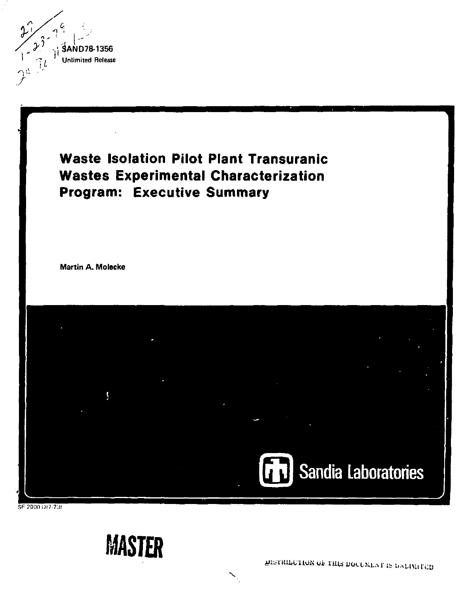

# **Waste Isolation Pilot Plant Transuranic Wastes Experimental Characterization Program: Executive Summary**

**Martin A. Molscke** 



SF 2900 OI7-73I

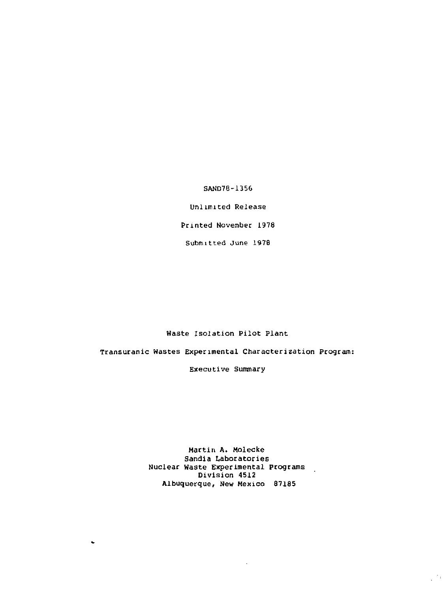SAND78-1356

Unlimited Release

Printed November 1978

Submitted June 1978

Waste Isolation Pilot Plant

Transuranic Wastes Experimental Characterization Program:

Executive Summary

Martin A. Molecke Sandia Laboratories Nuclear Waste Experimental Programs Division 4512 Albuquerque, New Mexico 67185

 $\mathbb{Z}^{2n}$  .

 $\ddot{\phantom{0}}$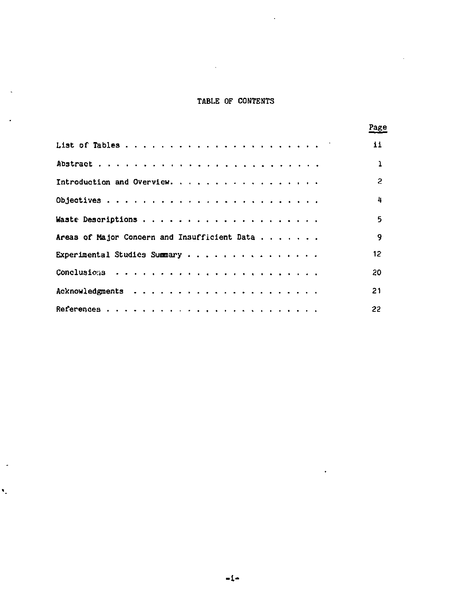# **TABLE OF CONTENTS**

 $\lambda$ 

ä,

 $\sim$ 

Ÿ,

|                                              | Page |
|----------------------------------------------|------|
|                                              | 11.  |
|                                              | ı    |
|                                              | 2    |
|                                              | 4    |
|                                              | 5    |
| Areas of Major Concern and Insufficient Data | q    |
| Experimental Studies Summary                 | 12   |
|                                              | 20   |
|                                              | 21   |
|                                              | 22   |

 $\ddot{\phantom{1}}$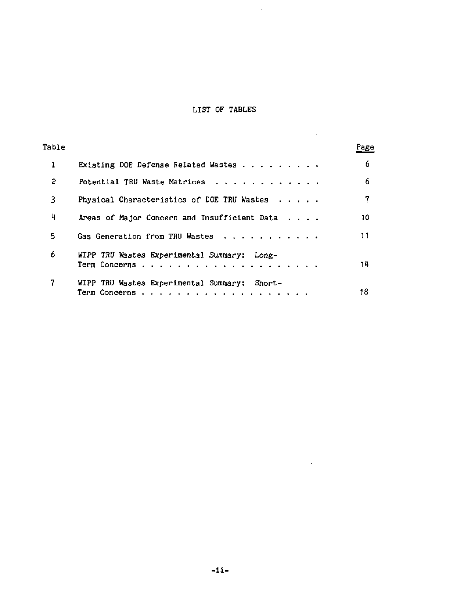# LIST OF TABLES

 $\sim 10^{-1}$ 

 $\sim 10^{11}$  m  $^{-1}$ 

and the company

| Table        |                                                       | Page |
|--------------|-------------------------------------------------------|------|
| $\mathbf{1}$ | Existing DOE Defense Related Wastes                   | 6    |
| 2            | Potential TRU Waste Matrices                          | 6    |
| 3            | Physical Characteristics of DOE TRU Wastes $\cdots$ . | 7    |
| 4            | Areas of Major Concern and Insufficient Data $\ldots$ | 10   |
| 5            | Gas Generation from TRU Wastes                        | 11   |
| 6            | WIPP TRU Wastes Experimental Summary: Long-           | 74   |
| 7            | WIPP TRU Wastes Experimental Summary: Short-          | 18   |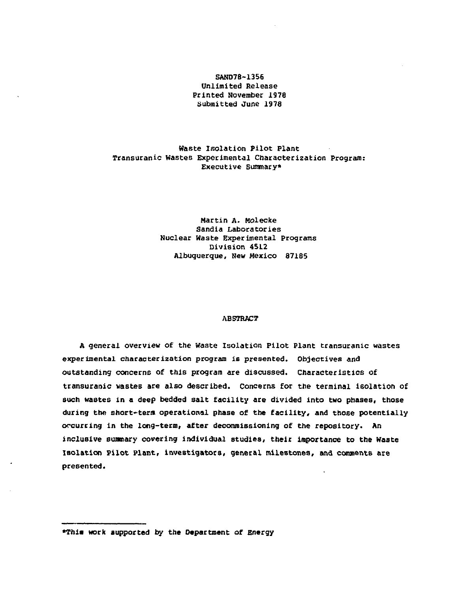### **SAND78-1356 Unlimited Release Printed November 1978 Submitted June 1978**

### **Haste Isolation Pilot Plant Transuranic Wastes Experimental Characterization Program: Executive summary\***

# **Martin A. Molecke Sandia Laboratories Nuclear Haste Experimental Programs Division 4S12 Albuquerque, New Mexico 87185**

#### **ABSTRACT**

**A general overview of the Waste Isolation Pilot Plant transuranic wastes experimental characterization program is presented. Objectives and outstanding concerns of this program are discussed. Characteristics of transuranic wastes are also described. Concerns for the terminal isolation of such wastes in a deep bedded salt facility are divided into two phases, those during the short-term operational phase of the facility, and those potentially occurring in the long-term, after decommissioning of the repository. An inclusive summary covering individual studies, their importance to the Waste Isolation Pilot Plant, investigators, general milestones, and comments are presented.** 

**»Thi« work supported by the Department of Energy**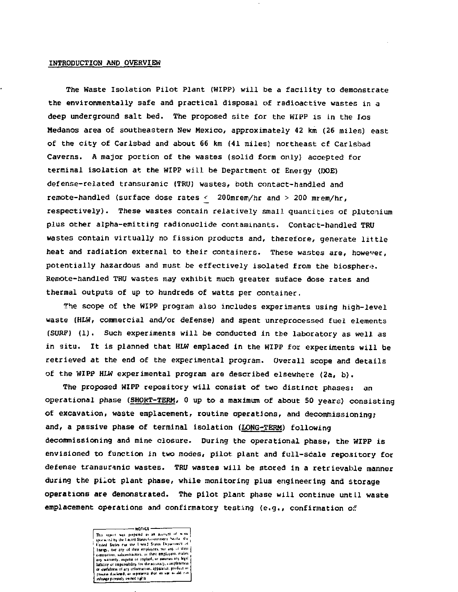#### INTRODUCTION AND OVERVIEW

The Waste Isolation Pilot Plant (WIPP) will be a facility to demonstrate the environmentally safe and practical disposal of radioactive wastes in a deep underground salt bed. The proposed site for the WIPP is in the Los Medanos area of southeastern New Mexico, approximately 42 km (26 miles) east of the city of Carlsbad and about 66 km {41 railesj northeast cf Carlsbad Caverns. A major portion of the wastes (solid form only) accepted for terminal isolation at the WIPP will be Department of Energy (DOE) defense-related transuranic {TRU) wastes, both contact-handled and remote-handled (surface dose rates *<* 200mrem/hr and > 200 mrem/hr, respectively). These wastes contain relatively small quantities of plutonium plus other alpha-emitting radionuclide contaminants. Contact-handled TRU wastes contain virtually no fission products and, therefore, generate little heat and radiation external to their containers. These wastes are, however, potentially hazardous and must be effectively isolated from the biosphere. Remote-handled TRU wastes may exhibit much greater suface dose rates and thermal outputs of up to hundreds of watts per container.

The scope of the WIPP program also includes experiments using high-level waste {HLW, commercial and/or defense) and spent unreprocessed fuel elements (SURF) (1). Such experiments will be conducted in the laboratory as well as in situ. It is planned that HLW emplaced in the WIPP for experiments will be retrieved at the end of the experimental program. Overall scope and details of the WIPP HLW experimental program are described elsewhere (2a, b).

The proposed WIPP repository will consist of two distinct phases: an operational phase (SHORT-TERM, 0 up to a maximum of about 50 yeare) consisting of excavation, waste emplacement, routine operations, and decommissioning; and, a passive phase of terminal isolation (LONG-TERM) following decommissioning and mine closure. During the operational phase, the WIPP is envisioned to function in two modes, pilot plant and full-scale repository for defense transuranic wastes. TRU wastes will be stored in a retrievable manner during the pilot plant phase, while monitoring plus engineering and storage operations are demonstrated. The pilot plant phase will continue until waste emplacement operations and confirmatory testing (e.g., confirmation *of.* 

 $+0101 -$ HOTEL THE SERVE OF THE SERVE OF THE SERVE OF THE SERVE OF THE SERVE OF THE SERVE OF THE SERVE OF THE SERVE OF THE SERVE OF THE SERVE OF THE SERVE OF THE SERVE OF THE SERVE OF THE SERVE OF THE SERVE OF THE SERVE OF THE SERV Energy, now tray of their employs that is also as the contractor, and there exergisting in the party warranty approximation in the label of the state of a testing a legal of the state of any state of an interaction of the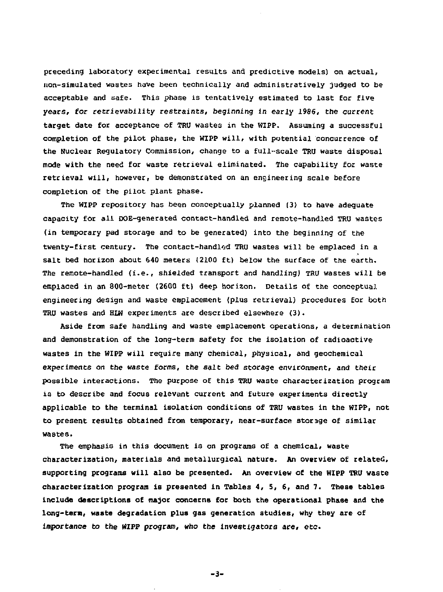preceding laboratory experimental results and predictive models) on actual, non-simulated wastes have been technically and administratively judged to be acceptable and safe. This phase is tentatively estimated to last for five years, for retrievability restraints, beginning in early 1986, the current target date for acceptance of TRU wastes in the WIPP. Assuming a successful completion of the pilot phase, the WIPP will, with potential concurrence of the Nuclear Regulatory Commission, change to a full-scale TRU waste disposal mode with the need for waste retrieval eliminated. The capability for waste retrieval will, however, be demonstrated on an engineering scale before completion of the pilot plant phase.

The WIPP repository has been conceptually planned (3) to have adequate capacity for all DOE-generated contact-handled and remote-handled TRU wastes (in temporary pad storage and to be generated) into the beginning of the twenty-first century. The contact-handlod TRU wastes will be emplaced in a salt bed horizon about 640 meters (2100 ft) below the surface of the earth. The remote-handled (i.e., shielded transport and handling) TRU wastes will be emplaced in an 800-meter (2600 ft) deep horizon. Details of the conceptual engineering design and waste emplacement (plus retrieval) procedures for both TRU wastes and HLW experiments are described elsewhere (3).

Aside from safe handling and waste emplacement operations, a determination and demonstration of the long-term safety for the isolation of radioactive wastes in the WIPP will require many chemical, physical, and geochemical experiments on the waste forms, the salt bed storage environment, and their possible interactions. The purpose of this TRU waste characterization program is to describe and focus relevant current and future experiments directly applicable to the terminal isolation conditions of TRU wastes in the WIPP, not to present results obtained from temporary, near-surface storage of similar wastes.

The emphasis in this document is on programs of a chemical, waste characterization, materials and metallurgical nature. An overview of related, supporting programs will also be presented. An overview of the WIPP TRU waste characterization program is presented in Tables 4, 5, 6, and 7. These tables include descriptions of major concerns for both the operational phase and the long-term, waste degradation plus gas generation studies, why they are of importance to the WIPP program, who the investigators are, etc.

-3-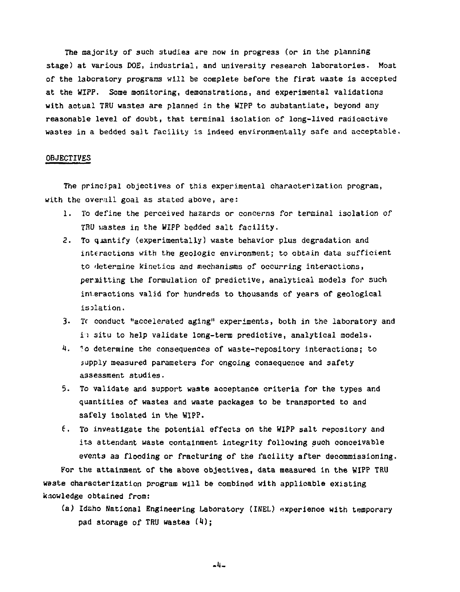The majority of such studies are now in progress (or in the planning stage) at various DOE, industrial, and university research laboratories. Most of the laboratory programs will be complete before the first waste is accepted at the *MX??.* Some monitoring, demonstrations, and experimental validations with actual TRU wastes are planned in the WIPP to substantiate, beyond any reasonable level of doubt, that terminal isolation of long-lived radioactive wastes in a bedded salt facility is indeed environmentally safe and acceptable.

#### OBJECTIVES

The principal objectives of this experimental characterization program, with the overall goal as stated above, are:

- 1. To define the perceived hazards or concerns for terminal isolation of TBU wastes in the WIPP bedded salt facility,
- 2. To quantify (experimentally) waste behavior plus degradation and interactions with the geologic environment; to obtain data sufficient to determine kinetics and mechanisms of occurring interactions, permitting the formulation of predictive, analytical models for such interactions valid for hundreds to thousands of years of geological isolation.
- 3. Tc conduct "accelerated aging" experiments, both in the laboratory and in situ to help validate long-term predictive, analytical models.
- 4.  *r o* determine the consequences of waste-repository interactions; to supply measured parameters for ongoing consequence and safety assessment studies.
- 5. To validate and support waste acceptance criteria for the types and quantities of wastes and waste packages to be transported to and safely isolated in the WIPP.
- 6. To investigate the potential effects on the WIPP salt repository and its attendant waste containment integrity following such conceivable events as flooding or fracturing of the facility after decommissioning.

For the attainment of the above objectives, data measured in the WIPP TRU waste characterization program will be combined with applicable existing knowledge obtained from;

(a) Idaho National Engineering Laboratory (INEL) experienoe with temporary pad storage of TRU wastes  $(4)$ :

.«-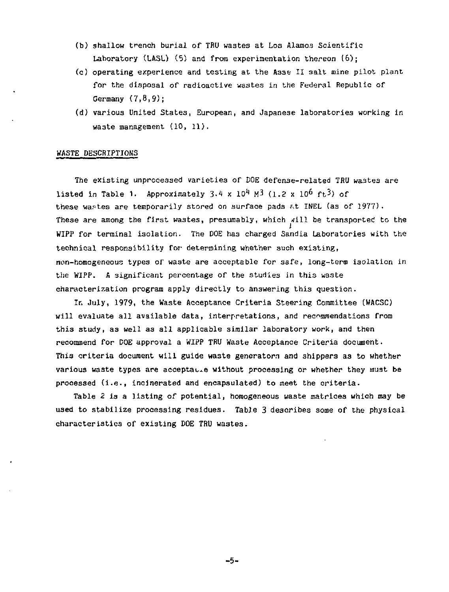- (b) shallow trench burial of TRU wastes at Los Alamos Scientific Laboratory (LASL) (5) and from experimentation thereon (6):
- (c) operating experience and testing at the Asse II salt mine pilot plant for the disposal of radioactive wastes in the Federal Republic of Germany (7,8,9);
- (d) various United States, European, and Japanese laboratories working in waste management (10, 11).

#### WASTE DESCRIPTIONS

The existing unprocessed varieties of DOE defense-related TRU wastes are listed in Table 1. Approximately  $3.4 \times 10^4$  M<sup>3</sup> (1.2 x 10<sup>6</sup> ft<sup>3</sup>) of these wastes are temporarily stored on surface pads ^t INEL (as of 1977). These are among the first wastes, presumably, which will be transported to the WIPP for terminal isolation. The DOE has charged Sandia Laboratories with the technical responsibility for determining whether such existing, non-homogeneous types of waste are acceptable for safe, long-term isolation in the WIPP. A significant percentage of the studies in this waste characterization program apply directly to answering this question.

In July, 1979, the Waste Acceptance Criteria Steering Committee (WACSC) will evaluate all available data, interpretations, and recommendations from this study, as well as all applicable similar laboratory work, and then recommend for DOE approval a WIPP TRU Waste Acceptance Criteria document. This criteria document will guide waste generators and shippers as to whether various waste types are acceptate without processing or whether they must be processed (i.e., incinerated and encapsulated) to meet the criteria.

Table 2 is a listing of potential, homogeneous waste matrices which may be used to stabilize processing residues. Table 3 describes some of the physical characteristics of existing DOE TRU wastes.

-5-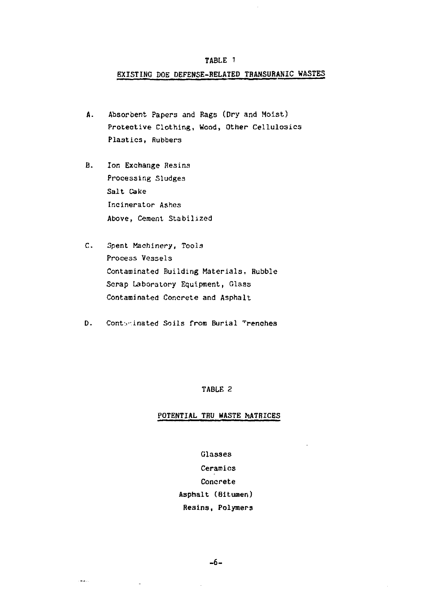# EXISTING DOE DEFENSE-BELATED TBANSUBANIC WASTES

- A. Absorbent Papers and Rags (Dry and Moist) Protective Clothing, Wood, Other Cellulosics Plastics, Rubbers
- B. Ion Exchange Resins Processing Sludges Salt Cake Incinerator Ashes Above, Cement Stabilized
- C. Spent Machinery, Tools Process Vessels Contaminated Building Materials, Bubble Scrap Laboratory Equipment, Glass Contaminated Concrete and Asphalt
- D. Contvinated Soils from Burial Frenches

# TABLE 2

### POTENTIAL TRU WASTE MATRICES

Glasses Ceramics Concrete Asphalt (Bitumen) Resins, Polymers

шù,

 $\overline{a}$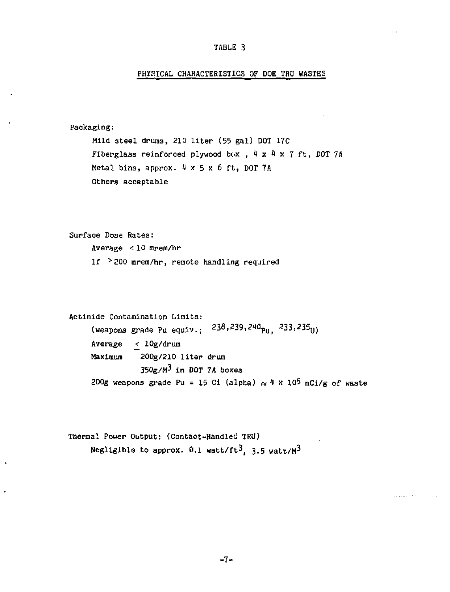# PHYSICAL CHARACTERISTICS OF DOE TRU WASTES

```
Packaging: 
     Mild steel drums, 210 liter (55 gal) DOT 17C 
     Fiberglass reinforced plywood box , 4 x 4 x 7 ft, DOT 7A
     Metal bins, approx. 4 \times 5 \times 6 ft, DOT 7A
     Others acceptable
```

```
Surface Dose Rates: 
     Average <10 mrem/hr 
     1f > 200 mrem/hr, remote handling required
```

```
Actinide Contamination Limits: 
     (weapons grade Pu equiv.; ^{238,239,240}Pu. ^{233,235}U)
     Average _< lOg/drum 
     Maximum 200g/210 liter drum 
                 350g/M^3 in DOT 7A boxes
     200g weapons grade Pu = 15 Ci (alpha) \approx 4 x 10<sup>5</sup> nCi/g of waste
```

```
Thermal Power Output: (Contact-Handled TRU) 
      Negligible to approx. 0.1 watt/ft<sup>3</sup>, 3.5 watt/M<sup>3</sup>
```
 $\cdot$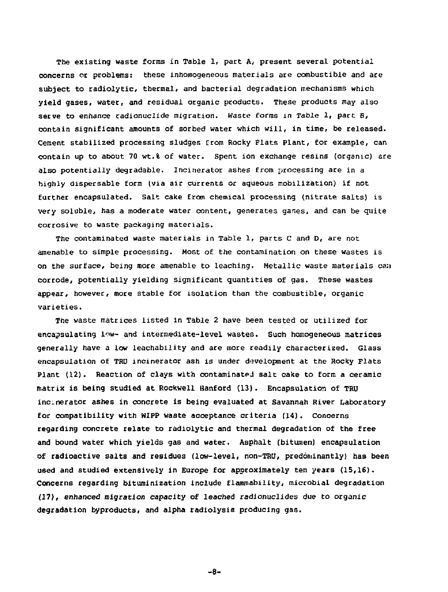The existing waste forms in Table 1, part A, present several potential concerns or problems: these inhomogeneous materials are combustible and are subject to radiolytic, thermal, and bacterial degradation mechanisms which yield gases, water, and residual organic products. These products may also serve to enhance radionuclide migration. Waste forms in Table 1, part B, contain significant amounts of sorbed water which will, in time, be released. Cement stabilized processing sludges from Rocky Plats Plant, Cor example, can contain up to about 70 wt.% of water. Spent ion exchange resins (organic) are also potentially degradable. Incinerator ashes from processing are in a highly dispersable form (via air currents or aqueous mobilization) if not further encapsulated. Salt cake from chemical processing (nitrate salts) is very soluble, has a moderate water content, generates ganes, and can be quite corrosive to waste packaging materials.

The contaminated waste materials in Table 1, parts C and D, are not amenable to simple processing. Most of the contamination on these wastes is on the surface, being more amenable to leaching. Metallic waste materials can corrode, potentially yielding significant quantities of gas. These wastes appear, however, more stable for isolation than the combustible, organic varieties.

The waste matrices listed in Table 2 have been tested or utilized for encapsulating low- and intermediate-level wastes. Such homogeneous matrices generally have a low leachability and are more readily characterized. Glass encapsulation of TRU incinerator ash is under development at the Rocky Plats Plant (12). Reaction of clays with contaminated salt cake to form a ceramic matrix is being studied at Rockwell Hanford (13). Encapsulation of TRU incinerator ashes in concrete is being evaluated at Savannah River Laboratory for compatibility with WIPP waste acceptance criteria (14). Concerns regarding concrete relate to radiolytic and thermal degradation of the free and bound water which yields gas and water. Asphalt (bitumen) encapsulation of radioactive salts and residues (low-level, non-TRU, predominantly) has been used and studied extensively in Europe for approximately ten years (15,16). Concerns regarding bituminization include flammability, microbial degradation (17), enhanced migration capacity of leached radionuclides due to organic degradation byproducts, and alpha radiolysis producing gas.

-8-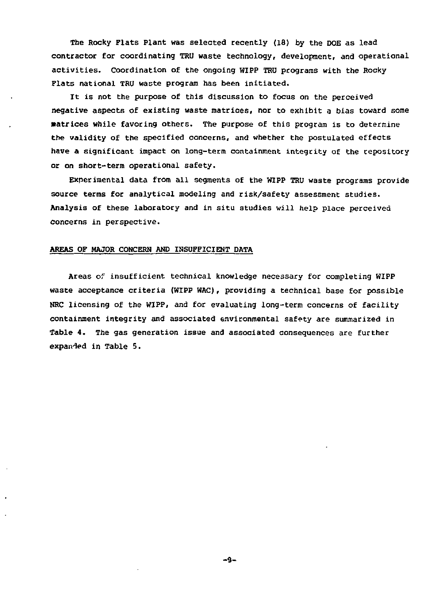The Rocky Flats Plant was selected recently (18) by the DOE as lead contractor for coordinating TRU waste technology, development, and operational activities. Coordination of the ongoing WIPP TRU programs with the Rocky Flats national TRU waste program has been initiated.

It is not the purpose of this discussion to focus on the perceived negative aspects of existing waste matrices, nor to exhibit a bias toward some matrices while favoring others. The purpose of this program is to determine the validity of the specified concerns, and whether the postulated effects have a significant impact on long-term containment integrity of the repository or on short-term operational safety.

Experimental data from all segments of the WIPP TRU waste programs provide source terms for analytical modeling and risk/safety assessment studies. Analysis of these laboratory and in situ studies will help place perceived concerns in perspective.

#### AREAS OF MAJOR CONCERN AND INSUFFICIENT DATA

Areas *of* insufficient technical knowledge necessary for completing WIPP waste acceptance criteria (WIPP WAC), providing a technical base for possible NRC licensing of the WIPP, and for evaluating long-term concerns of facility containment integrity and associated environmental safety are summarized in Table 4. The gas generation issue and associated consequences are further expanded in Table 5.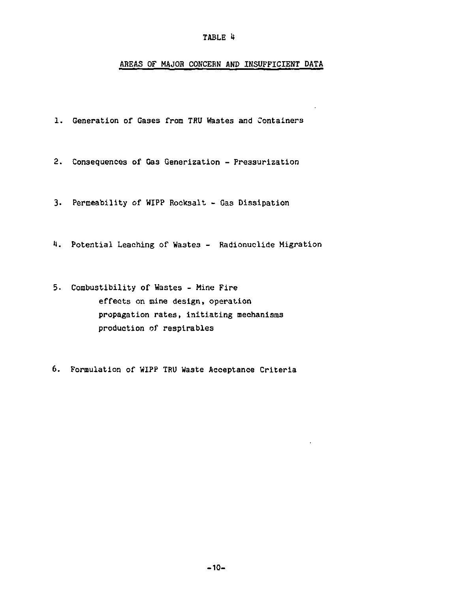# AREAS OF MAJOR CONCERN AND INSUFFICIENT DATA

1. Generation of Gases from TRU Wastes and Containers

2. Consequences of Gas Generization - Pressurization

3. Permeability of WIPP Rooksalt - Gas Dissipation

1. Potential Leaching of Wastes - Radionuclide Migration

- 5. Combustibility of Wastes Mine Fire effects on mine design, operation propagation rates, initiating mechanisms production of respirables
- 6. Formulation of WIPP TRU Waste Acceptance Criteria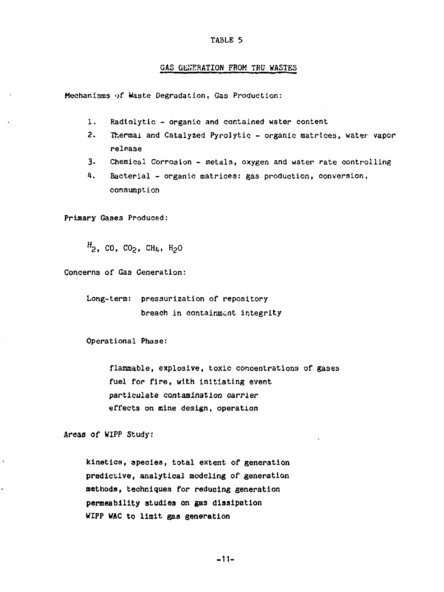#### GAS GENERATION FROM TBU WASTES

Mechanisms of Haste Degradation, Gas Production:

- 1. Radlolytlc organic and contained water content
- 2. **Thermal** and Catalyzed Pyrolytic organic matrices, water vapor release
- 3. Chemical Corrosion metal3, oxygen and water rate controlling
- 1. Bacterial organic matrices: gas production, conversion, consumption

Primary Gases Produced:

 $H_2$ , CO, CO<sub>2</sub>, CH<sub>4</sub>, H<sub>2</sub>O

Concerns of Gas Generation:

Long-term: pressurization of repository breach in containment integrity

Operational Phase:

flammable, explosive, toxic concentrations of gases fuel for fire, with initiating event particulate contamination carrier effects on mine design, operation

Areas of WIPP Study:

kinetics, species, total extent of generation predictive, analytical modeling of generation **methods, techniques for reducing generation permeability studies on gas dissipation WIPP WAC to limit gas generation**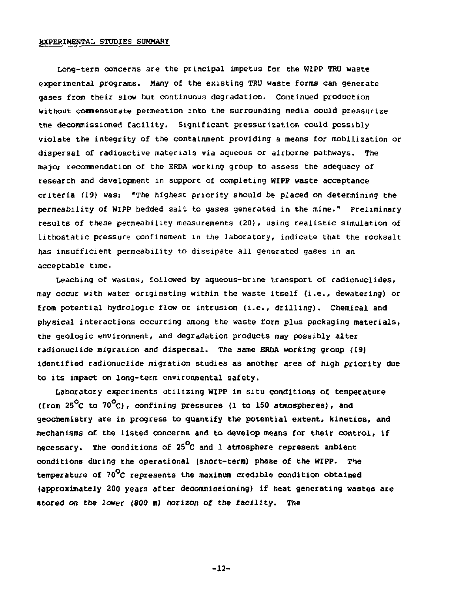#### EXPERIMENTAL STUDIES SUMMARY

Long-term concerns are the principal impetus for the WIPP TRU waste experimental programs. Many of the existing TRU waste forms can generate gases from their slow but continuous degradation. Continued production without commensurate permeation into the surrounding media could pressurize the decommissioned facility. Significant pressurization could possibly violate the integrity of the containment providing a means for mobilization or dispersal of radioactive materials via aqueous or airborne pathways. The major recommendation of the ERDA working group to assess the adequacy of research and development in support of completing WIPP waste acceptance criteria (19) was: "The highest priority should be placed on determining the permeability of WIPP bedded salt to gases generated in the mine." Preliminary results of these permeability measurements (20). using realistic simulation of lithostatic pressure confinement in the laboratory, indicate that the rocksalt has insufficient permeability to dissipate all generated gases in an acceptable time.

Leaching of wastes, followed by aqueous-brine transport of radionuclides, may occur with water originating within the waste itself (i.e., dewatering) or from potential hydrologic flow or intrusion {i.e., drilling). Chemical and physical interactions occurring among the waste form plus packaging materials, the geologic environment, and degradation products may possibly alter radionuclide migration and dispersal. The same ERDA working group (19) identified radionuclide migration studies as another area of high priority due to its impact on long-term environmental safety.

Laboratory experiments utilizing WIPP in situ conditions of temperature (from  $25^{\circ}$ C to  $70^{\circ}$ C), confining pressures (1 to 150 atmospheres), and geochemistry are in progress to quantify the potential extent, kinetics, and mechanisms of the listed concerns and to develop means for their control, if necessary. The conditions of 25 $^{\circ}$ C and 1 atmosphere represent ambient conditions during the operational (short-term) phase of the WIPP. The temperature of 70°c represents the maximum credible condition obtained (approximately 200 years after decommissioning) if heat generating wastes are stored on the lower (800 *m)* horizon of the facility. The

-12-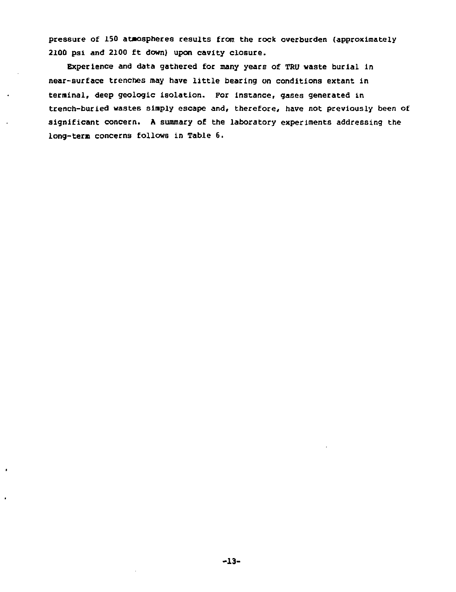**pressure of 150 atmospheres results from the rock overburden (approximately 2100 psi and 2100 ft down) upon cavity closure.** 

**Experience and data gathered for many years of TRU waste burial in near-surface trenches may have little bearing on conditions extant in terminal, deep geologic isolation. For instance, gases generated in trench-buried wastes simply escape and, therefore, have not previously been of significant concern. A summary of the laboratory experiments addressing the long-term concerns follows in Table 6.**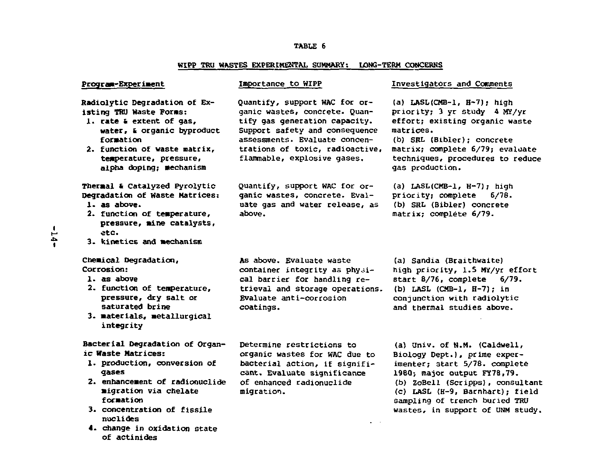# **WIPP TRU WASTES EXPERIMENTAL SUMMARY; LONG-TERM CONCERNS**

| Program-Experiment                                                                                                                                                                                                                                                | Importance to WIPP                                                                                                                                                                                                                   | Investigators and Comments                                                                                                                                                                                                                                               |
|-------------------------------------------------------------------------------------------------------------------------------------------------------------------------------------------------------------------------------------------------------------------|--------------------------------------------------------------------------------------------------------------------------------------------------------------------------------------------------------------------------------------|--------------------------------------------------------------------------------------------------------------------------------------------------------------------------------------------------------------------------------------------------------------------------|
| Radiolytic Degradation of Ex-<br>isting TRU Waste Forms:<br>1. rate & extent of gas,<br>water, a organic byproduct<br>formation<br>2. function of waste matrix,<br>temperature, pressure,<br>alpha doping; mechanism                                              | Quantify, support WAC for or-<br>ganic wastes, concrete. Quan-<br>tify gas generation capacity.<br>Support safety and consequence<br>assessments. Evaluate concen-<br>trations of toxic, radioactive,<br>flammable, explosive gases. | (a) LASL(CMB-1, H-7); high<br>priority; 3 yr study 4 MY/yr<br>effort; existing organic waste<br>matrices.<br>(b) SRL (Bibler); concrete<br>matrix: complete 6/79; evaluate<br>techniques, procedures to reduce<br>gas production.                                        |
| Thermal & Catalyzed Pyrolytic<br>Degradation of Waste Matrices:<br>1. as above.<br>2. function of temperature,<br>pressure, mine catalysts,<br>etc.<br>3. kinetics and mechanism                                                                                  | Quantify, support WAC for or-<br>ganic wastes, concrete. Eval-<br>uate gas and water release, as<br>above.                                                                                                                           | (a) LASL(CMB-1, H-7); high<br>priority: complete 6/78.<br>(b) SRL (Bibler) concrete<br>matrix; complete 6/79.                                                                                                                                                            |
| Chemical Degradation,<br>Corrosion:<br>1. as above<br>2. function of temperature,<br>pressure, dry salt or<br>saturated brine<br>3. materials, metallurgical<br>integrity                                                                                         | As above. Evaluate waste<br>container integrity as physi-<br>cal barrier for handling re-<br>trieval and storage operations.<br>Evaluate anti-corrosion<br>coatings.                                                                 | (a) Sandia (Braithwaite)<br>high priority, 1.5 MY/yr effort<br>start 8/76, complete 6/79.<br>(b) LASL (CMB-1, H-7); in<br>conjunction with radiolytic<br>and thermal studies above.                                                                                      |
| Bacterial Degradation of Organ-<br>ic Waste Matrices:<br>1. production, conversion of<br>gases<br>2. enhancement of radionuclide<br>migration via chelate<br>formation<br>3. concentration of fissile<br>nuclides<br>4. change in oxidation state<br>of actinides | Determine restrictions to<br>organic wastes for WAC due to<br>bacterial action, if signifi-<br>cant. Evaluate significance<br>of enhanced radionuclide<br>migration.                                                                 | (a) Univ. of N.M. (Caldwell,<br>Biology Dept.), prime exper-<br>imenter; start 5/78. complete<br>1980; major output FY78,79.<br>(b) ZoBell (Scripps), consultant<br>(c) LASL (H-9, Barnhart): field<br>sampling of trench buried TRU<br>wastes, in support of UNM study. |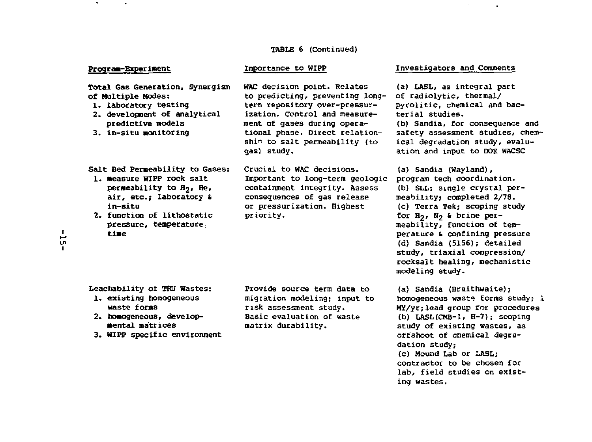#### TABLE 6 (Continued)

#### Program-Experiment

 $\bullet$ 

priority.

Total Gas Generation, Synergism of Multiple Nodes:

- 1. laboratory testing
- 2. development of analytical predictive models
- 3. in-situ monitoring

to predicting, preventing longterm repository over-pressurization. Control and measurement of gases during operational phase. Direct relationshin to salt permeability (to gas) study.

WAC decision point. Relates

- Salt Bed Permeability to Gases: 1. measure HIPP rock salt permeability to H<sub>7</sub>, He, air, etc.; laboratory & in-situ 2. function of lithostatic
- pressure, temperature: time

Crucial to HAC decisions. Important to long-term geologic containment integrity. Assess consequences of gas release or pressurization. Highest

#### Importance to WIPP **Investigators** and Comments

(a) LASL, as integral part of radiolytic, thermal/ pyrolitic, chemical and bacterial studies.

(b) Sandia, for consequence and safety assessment studies, chemical degradation study, evaluation and input to DOE WACSC

(a) Sandia (Wayland), program tech coordination. (b) SLL; single crystal permeability; completed 2/78. (c) Terra Tek; scoping study for  $H_2$ ,  $N_2$  & brine permeability, function of temperature & confining pressure (d) Sandia (5156); detailed study, triaxial compression/ rocksalt healing, mechanistic modeling study.

(a) Sandia (Braithwaite); homogeneous waste forms study; 1 MY/yr;lead group for procedures (b) IASL(CMB-1, H-7); scoping study of existing wastes, as offshoot of chemical degradation study; (c) Mound Lab or LASL; contractor to be chosen for lab, field studies on existing wastes.

reachability of TRU Hastes: 1. existing homogeneous

- waste forms 2. homogeneous, developmental matrices
- 3. HIPP specific environment

Provide source term data to migration modeling; input to risk assessment study. Basic evaluation of waste matrix durability.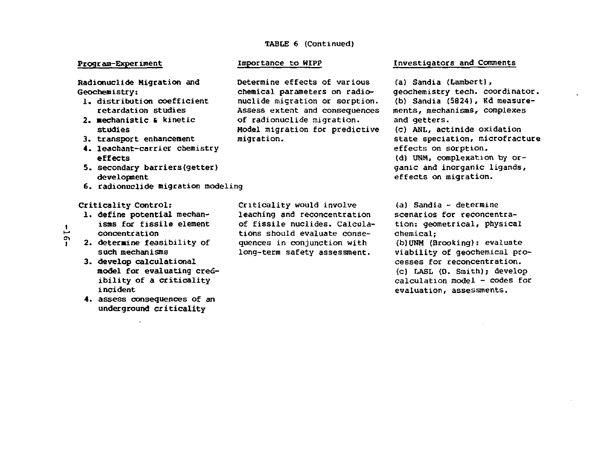#### TABLE 6 (Continued)

### **Program-Experiment**

**Radionuclide Migration and Geochemistry:** 

- 1. distribution coefficient retardation studies
- 2. mechanistic & kinetic studies
- 3. transport enhancement
- 4. leachant-carrier chemistry effects
- 5. secondary barriers(getter) development
- 6. radionuclide migration modeling

#### Criticality Control:

- 1. define potential mechan isms for fissile element
- de concentration<br>2. determine fear
	- 2. determine feasibility of such mechanisms
	- 3. develop calculational model for evaluating credibility of a criticality incident
	- 4. assess consequences of an underground criticality

Determine effects of various chemical parameters on radionuclide migration or sorption. Assess extent and consequences of radionuclide migration. Model migration for predictive migration.

### Importance to WIPP **Investigators** and Comments

(a) Sandia (Lambert), geochemistry tech. coordinator. (b) Sandia (5824) , Kd measurements, mechanisms, complexes and getters. (c) ANL, actinide oxidation state speciation, microfracture effects on sorption. (d) UNM, complexation by organic and inorganic ligands, effects on migration.

Criticality would involve leaching and reconcentration of fissile nuclides. Calculations should evaluate consequences in conjunction with long-term safety assessment.

(a) Sandia - determine scenarios for reconcentration: geometrical, physical chemical; (b) UNM (Brooking): evaluate viability of geochemical processes for reconcentration.

(c) LASL (0. Smith); develop calculation model - codes for evaluation, assessments.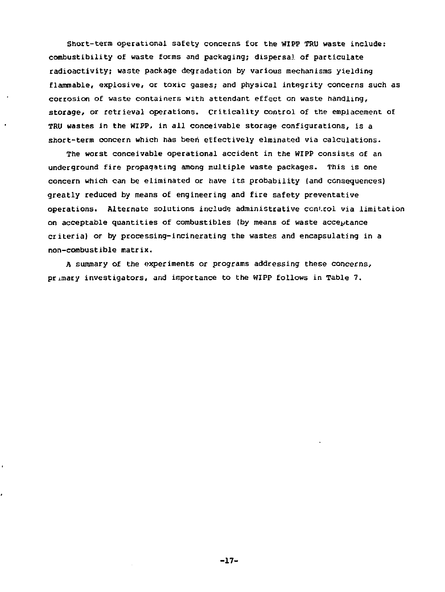Short-term operational safety concerns for the WIPP TRU waste include: combustibility of waste forms and packaging; dispersal of particulate radioactivity; waste package degradation by various mechanisms yielding flammable, explosive, or toxic gases; and physical integrity concerns such as corrosion of waste containers with attendant effect on waste handling, storage, or retrieval operations, criticality control of the emplacement of TRU wastes in the WIPP, in all conceivable storage configurations, is a short-term concern which has been effectively elminated via calculations.

The worst conceivable operational accident in the WIPP consists of an underground fire propagating among multiple waste packages. This is one concern which can be eliminated or have its probability (and consequences) greatly reduced by means of engineering and fire safety preventative operations. Alternate solutions include administrative ccni.rol via limitation on acceptable quantities of combustibles (by means of waste acceptance criteria) or by processing-incinerating the wastes and encapsulating in a non-combustible matrix.

A summary of the experiments or programs addressing these concerns, primary investigators, and importance to the WIPP follows in Table 7.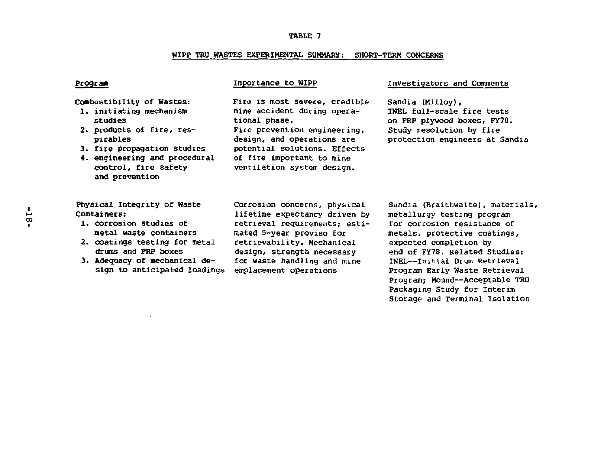#### WIPP TRU WASTES EXPERIMENTAL SUMMARY: SHORT-TERM CONCERNS

Combustibility of Wastes: 1. initiating mechanism studies

- 2. products of fire, respi rabies
- 3. fire propagation studies
- 4. engineering and procedural control, fire safety and prevention

Physical Integrity of Waste

- Containers:
- 1. corrosion studies of metal waste containers
- 2. coatings testing for metal drums and FRP boxes
- 3. Adequacy of mechanical design to anticipated loadings

mine accident during operational phase. Fire prevention engineering, design, and operations are potential solutions. Effects of fire important to mine ventilation system design.

Fire is most severe, credible

#### Program Importance to WIPP Investigators and Comments

Sandia (Milloy), INEL full-scale fire tests on FRP plywood boxes, FY78. Study resolution by fire protection engineers at Sandia

Corrosion concerns, physical lifetime expectancy driven by retrieval requirements; estimated 5-year proviso for retrievability. Mechanical design, strength necessary for waste handling and mine emplacement operations

Sandia (Braithwaite), materials metallurgy testing program for corrosion resistance of metals, protective coatings, expected completion by end of FY78. Related Studies: INEL—Initial Drum Retrieval Program Early Waste Retrieval Program; Mound—Acceptable TRU Packaging Study for Interim Storage and Terminal Isolation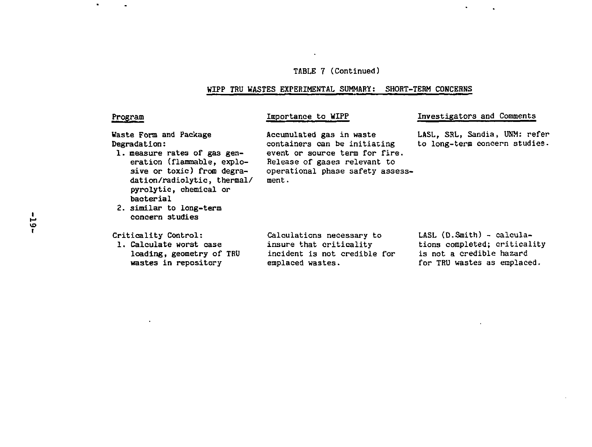# TABLE 7 (Continued)

#### WIPP TRU WASTES EXPERIMENTAL SUMMARY: SHORT-TERM CONCERNS

# Progr

 $\bullet$ 

# Importance to WIPP

Investigators and Comments

Waste Form and Package Degradation:

- 1. measure rates of gas generation (flammable, explosive or toxic) from degradation/radiolytic, thermal/ pyrolytic, chemical or **bacterial**
- 2. similar to long-term concern studies

Criticality Control: 1. Calculate worst case loading, geometry of TRU wastes in repository

Accumulated gas in waste containers can be initiating event or source term for fire. Release of gases relevant to operational phase safety assessment.

LASL, SRL, Sandia, UNM: refer to long-term concern studies.

Calculations necessary to insure that criticality incident is not credible for emplaced wastes.

LASL (D.Smith) - calculations completed; criticality is not a credible hazard for TRU wastes as emplaced.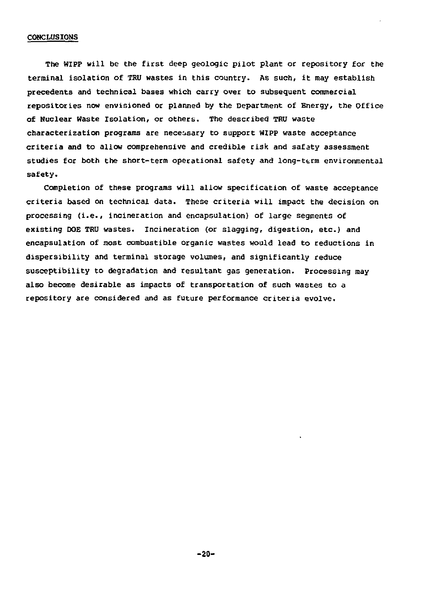#### CONCLUSIONS

The WIPP will be the first deep geologic pilot plant or repository for the terminal isolation of TRU wastes in this country. As such, it may establish precedents and technical bases which carry over to subsequent commercial repositories now envisioned or planned by the Department of Energy, the Office of Nuclear Waste isolation, or others. The described TRU waste characterization programs are necessary to support WIPP waste acceptance criteria and to allow comprehensive and credible risk and safety assessment studies for both the short-term operational safety and long-term environmental safety.

Completion of these programs will allow specification of waste acceptance criteria based on technical data. These criteria will impact the decision on processing (i.e., incineration and encapsulation) of large segments of existing DOE TRU wastes. Incineration (or slagging, digestion, etc.) and encapsulation of most combustible organic wastes would lead to reductions in dispersibility and terminal storage volumes, and significantly reduce susceptibility to degradation and resultant gas generation. Processing may also become desirable as impacts of transportation of such wastes to a repository are considered and as future performance criteria evolve.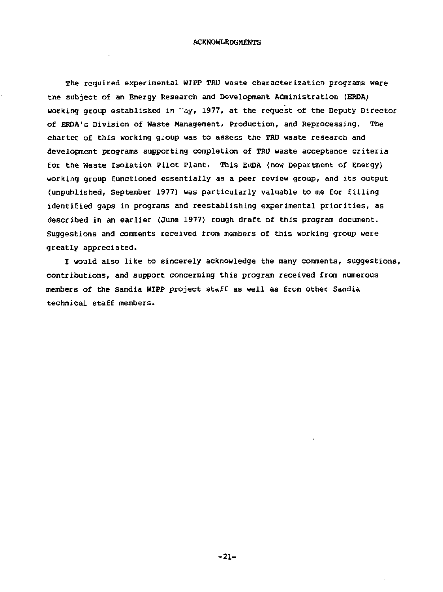The required experimental WIPP TRU waste characterization programs were the subject of an Energy Research and Development Administration (ERDA) working group established in "ay, 1977, at the request of the Deputy Director of ERDA's Division of Haste Management, Production, and Reprocessing. The charter of this working group was to assess the TRU waste research and development programs supporting completion of TRU waste acceptance criteria for the Waste Isolation Pilot Plant. This Ei<DA (now Department of Energy) working group functioned essentially as a peer review group, and its output (unpublished, September 1977} was particularly valuable to me for filling identified gaps in programs and reestablishing experimental priorities, as described in an earlier (June 1977) rough draft of this program document. Suggestions and comments received from members of this working group were greatly appreciated.

I would also like to sincerely acknowledge the many comments, suggestions, contributions, and support concerning this program received from numerous members of the Sandia WIPP project staff as well as from other Sandia technical staff members.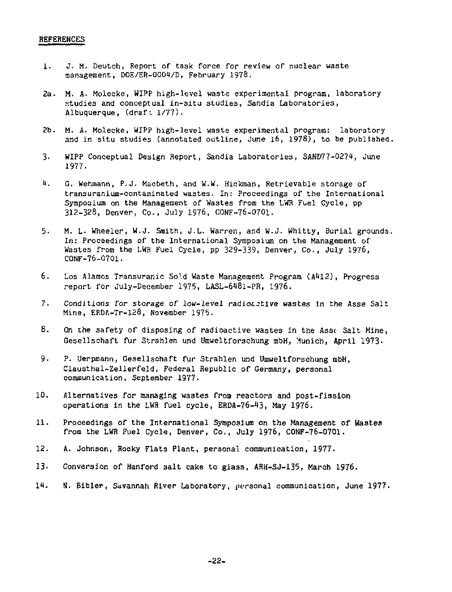#### **REFERENCES**

- 1. J. M. Deutoh, Report of task force for review of nuclear waste management, D0E/ER-0004/D, February 1978,
- 2a. M. A. Molecke, WIPP high-level waste experimental program, laboratory studies and conceptual in-situ studies, Sandia Laboratories, Albuquerque, (draf: 1/77).
- 2b. M. A. Molecke, WIPP high-level waste experimental program: laboratory and in situ studies (annotated outline, June 16, 1978), to be published.
- 3. WIPP Conceptual Design Report, Sandia Laboratories, SAND77-027t, June 1977.
- U. G. Wehmann, P.J. Macbeth, and W.W. Hickman, Retrievable storage of transuranium-contaminated wastes. In: Proceedings of the International Symposium on the Management of Wastes from the LWR Fuel Cycle, pp 312-328, Denver, Co., July 1976, CONF-76-0701.
- 5. M. L. Wheeler, W.J. Smith, J.L. Warren, and W.J. Whitty, Burial grounds. In: Proceedings of the International Symposium on the Management of Wastes from the LWR Fuel Cycle, pp 329-339, Denver, Co., July 1976, CONF-76-070T.
- 6. Los Alamos Transuranie Sold Waste Management Program (A412), Progress report for July-December 1975, LASL-6481-PR, 1976.
- 7. Conditions for storage of low-level radioactive wastes in the Asse Salt Mine, ERDA-Tr-128, November 1975.
- 8. On the safety of disposing of radioactive wastes in the Asse Salt Mine, Gesellschaft fur Strahlen und Umweltforschung mbH, Munich, April 1973-
- 9- P. Uerpmann, Gesellschaft fur Strahlen und Umweltforschung mbH, Clausthal-Zellerfeld, Federal Republic of Germany, personal communication, September 1977.
- 10. Alternatives for managing wastes from reactors and post-fission operations in the LWR fuel cycle, ERDA-76-13, May 1976.
- 11. Proceedings of the International Symposium on the Management of Wastes from the LWR Fuel Cycle, Denver, Co., July 1976, CONF-76-0701.
- 12. A. Johnson, Rocky Flats Plant, personal communication, 1977.
- 13. Conversion of Hanford salt cake to glass, ARH-SJ-135, March 1976.
- 11. S. Bibler, Savannah River Laboratory, personal communication, June 1977.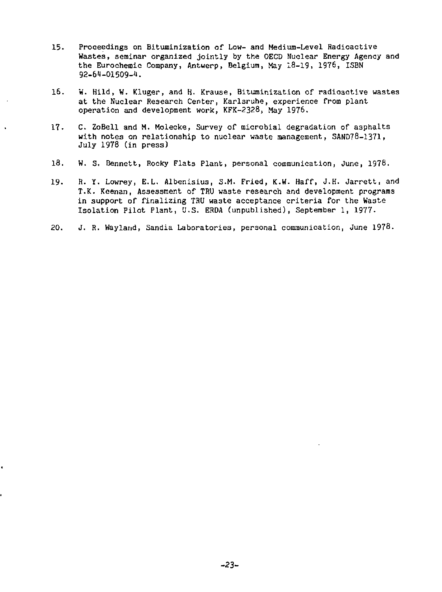- 15. Proceedings on Bituminization of Low- and Medium-Level Radioactive Wastes, seminar organized jointly by the OECD Nuclear Energy Agency and the Eurochemic Company, Antwerp, Belgium, May 13-19, 1976, ISBN 92-64-01509-^.
- 16. W. Hild, W. Kluger, and H. Krause, Bituminization of radioactive wastes at the Nuclear Research Center, Karlsruhe, experience from plant operation and development work, KFK-2328, May 1976.
- 17. C. ZoBell and M. Molecke, Survey of microbial degradation of a3phalts with notes on relationship to nuclear waste management, SAND78-1371. July 1978 (in press)
- 18. W. S. Bennett, Rocky Flats Plant, personal communication, June, 1978.
- 19. R. Y. Lowrey, E.L. Albenisius, S.M. Fried, K.W. Haff, J.H. Jarrett, and T.K. Keenan, Assessment of TRU waste research and development programs in support of finalizing TRU waste acceptance criteria for the Waste Isolation Pilot Plant, U.S. ERDA (unpublished), September 1, 1977-
- 20. J. R. Wayland, Sandia Laboratories, personal communication, June 1978.

ï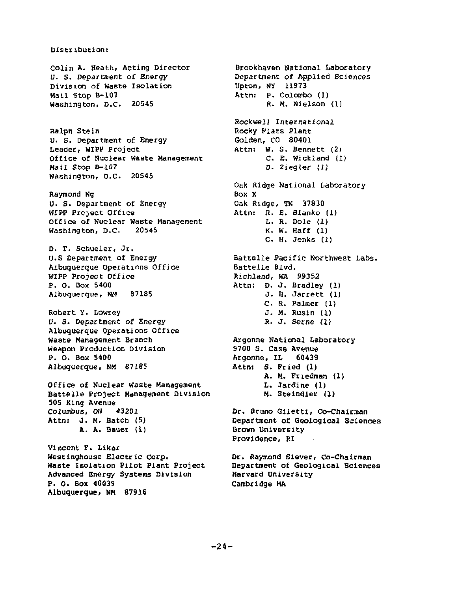# Distribution:

Colin A. Heath, Acting Director U. S. Department of Energy Division of Waste Isolation Hail Stop B-107 Washington, D.C. 20545

Ralph Stein u. S. Department of Energy Leader, WIPP Project Office of Nuclear Waste Management Mail Stop B-107 Washington, D.C. 20545

Raymond Ng U. S. Department of Energy WIPP Project Office Office of Nuclear Waste Management Washington, D.C. 20545

D. T. Schueler, Jr. U.S Department of Energy Albuquerque Operations Office WIPP Project Office P. 0. Box 5400 Albuquecque, NH B7185

Robert y. Lowrey U. S. Department of Energy Albuquerque Operations Office Waste Management Branch Weapon Production Division P. O. Box 5400 Albuquerque, NM 87185

Office of Nuclear waste Management Battelle Project Management Division 505 King Avenue Columbus, OH 43201 Attni J. M. Batch (5) A. A. Bauer (1)

Vincent F. Likar Westinghouse Electric Corp. Waste Isolation Pilot Plant Project Advanced Energy Systems Division P. 0. Box 40039 Albuquerque, KM 87916

Brookhaven national Laboratory Department of Applied Sciences Upton, NY 11973 Attn: P. Colombo (1) R. M. Nielson (1) Rockwell International Rocky Flats Plant Golden, CO 80401 Attn: W. S. Bennett (2) C. E. Wickland (1) D. Ziegler (I) Oak Ridge National Laboratory Box X Oak Ridge, TN 37830 Attn: R. E. Blanko (1) L. R. Dole (1) K. W. Haff (1) G. H. Jenks (1) Battelle Pacific Northwest Labs. Battelle Blvd. Richland, WA 99352 Attn: D. J. Bradley (1) J. H. Jarrett (1) C. R. Palmer (1) J. M. Rusin (1) R. J. Secne (1) Argonne National Laboratory 9700 S. Cass Avenue Argonne, IL 60439 Attn: S. Fried (1) A. M. Friedman (1) L. Jardine (1) M. Steindler (1) Dr. Bruno Giletti, Co-Chairman Department of Geological Sciences Brown University Providence, RI

Dr. Raymond Siever, Co-Chairman Department of Geological Sciences Harvard University Cambridge MA